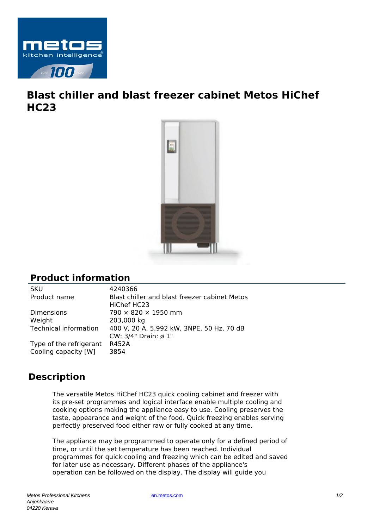

## **Blast chiller and blast freezer cabinet Metos HiChef HC23**



## **Product information**

SKU 4240366 Product name Blast chiller and blast freezer cabinet Metos HiChef HC23 Dimensions  $790 \times 820 \times 1950$  mm Weight 203,000 kg Technical information 400 V, 20 A, 5,992 kW, 3NPE, 50 Hz, 70 dB CW: 3/4" Drain: ø 1" Type of the refrigerant R452A Cooling capacity [W] 3854

## **Description**

The versatile Metos HiChef HC23 quick cooling cabinet and freezer with its pre-set programmes and logical interface enable multiple cooling and cooking options making the appliance easy to use. Cooling preserves the taste, appearance and weight of the food. Quick freezing enables serving perfectly preserved food either raw or fully cooked at any time.

The appliance may be programmed to operate only for a defined period of time, or until the set temperature has been reached. Individual programmes for quick cooling and freezing which can be edited and saved for later use as necessary. Different phases of the appliance's operation can be followed on the display. The display will guide you